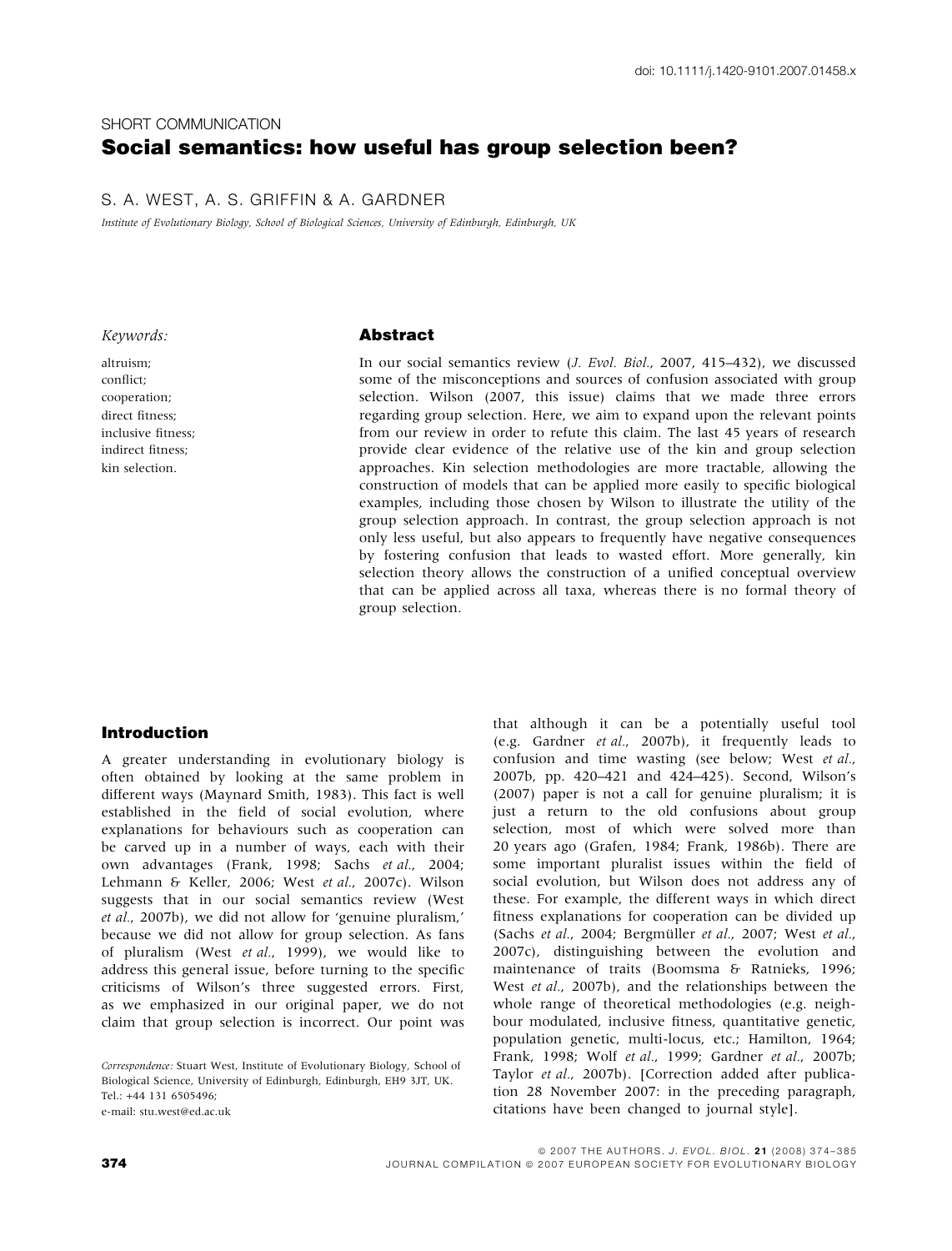# SHORT COMMUNICATION Social semantics: how useful has group selection been?

# S. A. WEST, A. S. GRIFFIN & A. GARDNER

Institute of Evolutionary Biology, School of Biological Sciences, University of Edinburgh, Edinburgh, UK

#### Keywords:

altruism; conflict; cooperation; direct fitness; inclusive fitness; indirect fitness; kin selection.

#### Abstract

In our social semantics review (J. Evol. Biol., 2007, 415–432), we discussed some of the misconceptions and sources of confusion associated with group selection. Wilson (2007, this issue) claims that we made three errors regarding group selection. Here, we aim to expand upon the relevant points from our review in order to refute this claim. The last 45 years of research provide clear evidence of the relative use of the kin and group selection approaches. Kin selection methodologies are more tractable, allowing the construction of models that can be applied more easily to specific biological examples, including those chosen by Wilson to illustrate the utility of the group selection approach. In contrast, the group selection approach is not only less useful, but also appears to frequently have negative consequences by fostering confusion that leads to wasted effort. More generally, kin selection theory allows the construction of a unified conceptual overview that can be applied across all taxa, whereas there is no formal theory of group selection.

#### Introduction

A greater understanding in evolutionary biology is often obtained by looking at the same problem in different ways (Maynard Smith, 1983). This fact is well established in the field of social evolution, where explanations for behaviours such as cooperation can be carved up in a number of ways, each with their own advantages (Frank, 1998; Sachs et al., 2004; Lehmann & Keller, 2006; West et al., 2007c). Wilson suggests that in our social semantics review (West et al., 2007b), we did not allow for 'genuine pluralism,' because we did not allow for group selection. As fans of pluralism (West et al., 1999), we would like to address this general issue, before turning to the specific criticisms of Wilson's three suggested errors. First, as we emphasized in our original paper, we do not claim that group selection is incorrect. Our point was

Correspondence: Stuart West, Institute of Evolutionary Biology, School of Biological Science, University of Edinburgh, Edinburgh, EH9 3JT, UK. Tel.: +44 131 6505496; e-mail: stu.west@ed.ac.uk

that although it can be a potentially useful tool (e.g. Gardner et al., 2007b), it frequently leads to confusion and time wasting (see below; West et al., 2007b, pp. 420–421 and 424–425). Second, Wilson's (2007) paper is not a call for genuine pluralism; it is just a return to the old confusions about group selection, most of which were solved more than 20 years ago (Grafen, 1984; Frank, 1986b). There are some important pluralist issues within the field of social evolution, but Wilson does not address any of these. For example, the different ways in which direct fitness explanations for cooperation can be divided up (Sachs et al., 2004; Bergmüller et al., 2007; West et al., 2007c), distinguishing between the evolution and maintenance of traits (Boomsma & Ratnieks, 1996; West et al., 2007b), and the relationships between the whole range of theoretical methodologies (e.g. neighbour modulated, inclusive fitness, quantitative genetic, population genetic, multi-locus, etc.; Hamilton, 1964; Frank, 1998; Wolf et al., 1999; Gardner et al., 2007b; Taylor et al., 2007b). [Correction added after publication 28 November 2007: in the preceding paragraph, citations have been changed to journal style].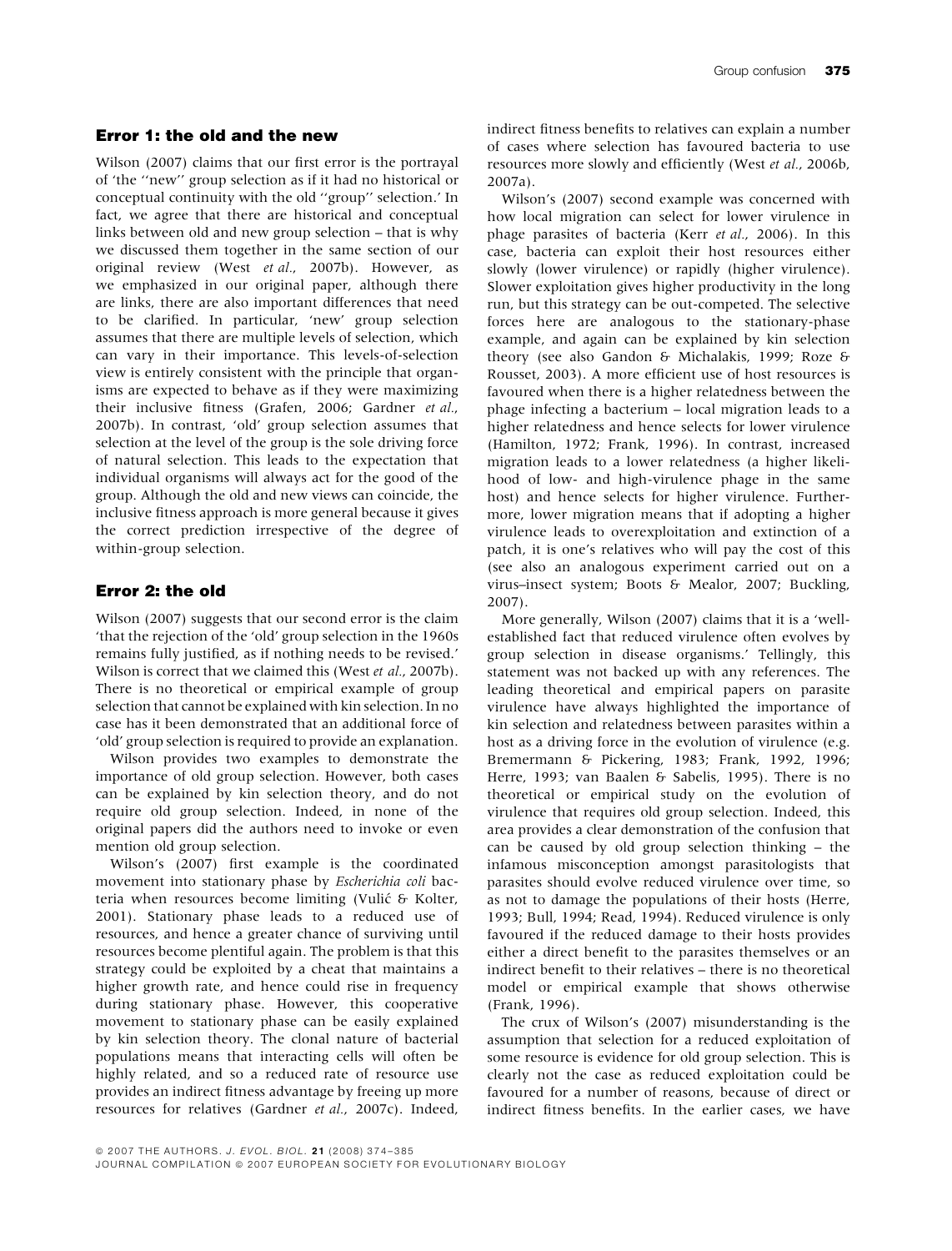### Error 1: the old and the new

Wilson (2007) claims that our first error is the portrayal of 'the ''new'' group selection as if it had no historical or conceptual continuity with the old ''group'' selection.' In fact, we agree that there are historical and conceptual links between old and new group selection – that is why we discussed them together in the same section of our original review (West et al., 2007b). However, as we emphasized in our original paper, although there are links, there are also important differences that need to be clarified. In particular, 'new' group selection assumes that there are multiple levels of selection, which can vary in their importance. This levels-of-selection view is entirely consistent with the principle that organisms are expected to behave as if they were maximizing their inclusive fitness (Grafen, 2006; Gardner et al., 2007b). In contrast, 'old' group selection assumes that selection at the level of the group is the sole driving force of natural selection. This leads to the expectation that individual organisms will always act for the good of the group. Although the old and new views can coincide, the inclusive fitness approach is more general because it gives the correct prediction irrespective of the degree of within-group selection.

# Error 2: the old

Wilson (2007) suggests that our second error is the claim 'that the rejection of the 'old' group selection in the 1960s remains fully justified, as if nothing needs to be revised.' Wilson is correct that we claimed this (West et al., 2007b). There is no theoretical or empirical example of group selection that cannot be explained with kin selection. In no case has it been demonstrated that an additional force of 'old' group selection is required to provide an explanation.

Wilson provides two examples to demonstrate the importance of old group selection. However, both cases can be explained by kin selection theory, and do not require old group selection. Indeed, in none of the original papers did the authors need to invoke or even mention old group selection.

Wilson's (2007) first example is the coordinated movement into stationary phase by Escherichia coli bacteria when resources become limiting (Vulić & Kolter, 2001). Stationary phase leads to a reduced use of resources, and hence a greater chance of surviving until resources become plentiful again. The problem is that this strategy could be exploited by a cheat that maintains a higher growth rate, and hence could rise in frequency during stationary phase. However, this cooperative movement to stationary phase can be easily explained by kin selection theory. The clonal nature of bacterial populations means that interacting cells will often be highly related, and so a reduced rate of resource use provides an indirect fitness advantage by freeing up more resources for relatives (Gardner et al., 2007c). Indeed, indirect fitness benefits to relatives can explain a number of cases where selection has favoured bacteria to use resources more slowly and efficiently (West et al., 2006b, 2007a).

Wilson's (2007) second example was concerned with how local migration can select for lower virulence in phage parasites of bacteria (Kerr et al., 2006). In this case, bacteria can exploit their host resources either slowly (lower virulence) or rapidly (higher virulence). Slower exploitation gives higher productivity in the long run, but this strategy can be out-competed. The selective forces here are analogous to the stationary-phase example, and again can be explained by kin selection theory (see also Gandon & Michalakis, 1999; Roze & Rousset, 2003). A more efficient use of host resources is favoured when there is a higher relatedness between the phage infecting a bacterium – local migration leads to a higher relatedness and hence selects for lower virulence (Hamilton, 1972; Frank, 1996). In contrast, increased migration leads to a lower relatedness (a higher likelihood of low- and high-virulence phage in the same host) and hence selects for higher virulence. Furthermore, lower migration means that if adopting a higher virulence leads to overexploitation and extinction of a patch, it is one's relatives who will pay the cost of this (see also an analogous experiment carried out on a virus–insect system; Boots & Mealor, 2007; Buckling, 2007).

More generally, Wilson (2007) claims that it is a 'wellestablished fact that reduced virulence often evolves by group selection in disease organisms.' Tellingly, this statement was not backed up with any references. The leading theoretical and empirical papers on parasite virulence have always highlighted the importance of kin selection and relatedness between parasites within a host as a driving force in the evolution of virulence (e.g. Bremermann & Pickering, 1983; Frank, 1992, 1996; Herre, 1993; van Baalen & Sabelis, 1995). There is no theoretical or empirical study on the evolution of virulence that requires old group selection. Indeed, this area provides a clear demonstration of the confusion that can be caused by old group selection thinking – the infamous misconception amongst parasitologists that parasites should evolve reduced virulence over time, so as not to damage the populations of their hosts (Herre, 1993; Bull, 1994; Read, 1994). Reduced virulence is only favoured if the reduced damage to their hosts provides either a direct benefit to the parasites themselves or an indirect benefit to their relatives – there is no theoretical model or empirical example that shows otherwise (Frank, 1996).

The crux of Wilson's (2007) misunderstanding is the assumption that selection for a reduced exploitation of some resource is evidence for old group selection. This is clearly not the case as reduced exploitation could be favoured for a number of reasons, because of direct or indirect fitness benefits. In the earlier cases, we have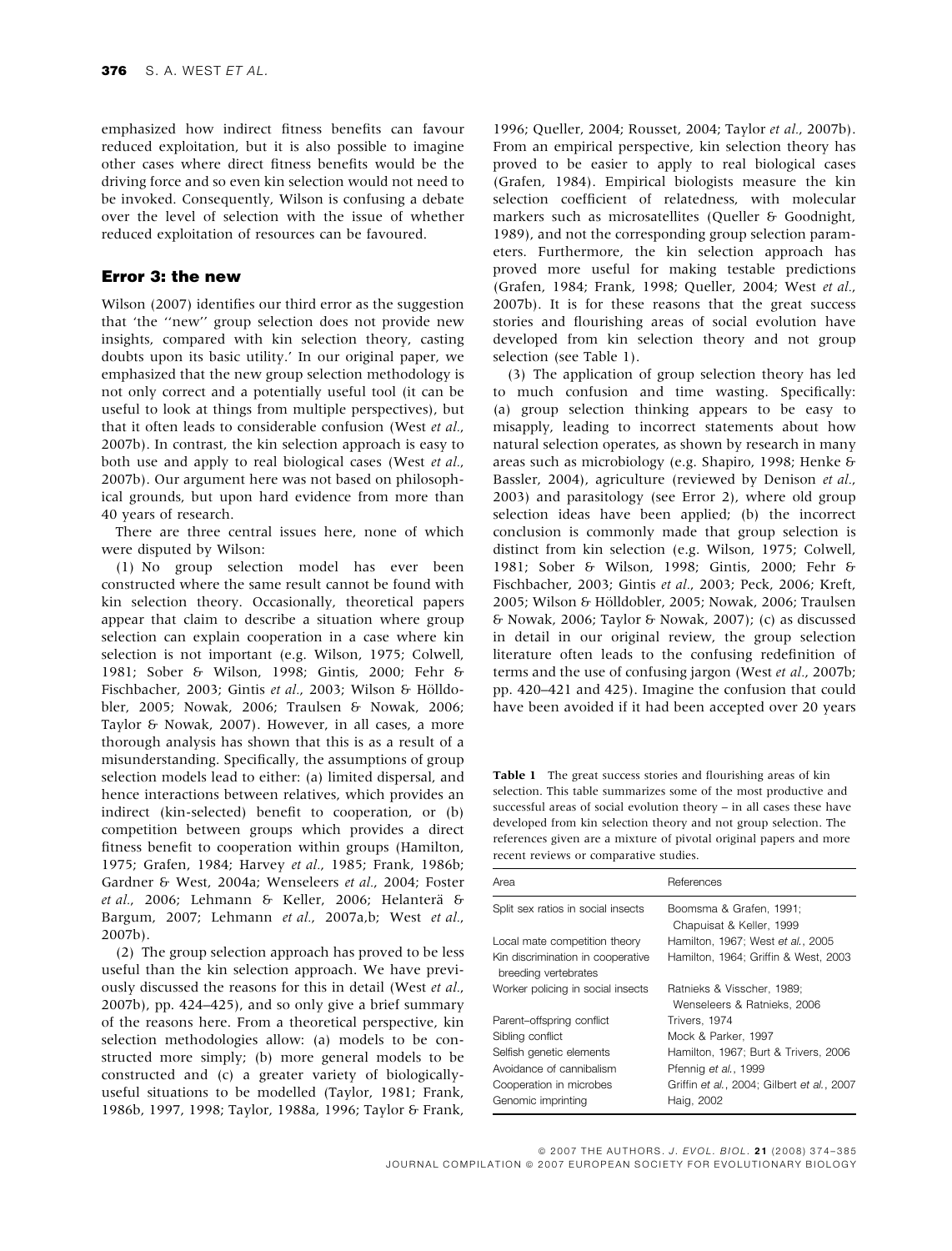emphasized how indirect fitness benefits can favour reduced exploitation, but it is also possible to imagine other cases where direct fitness benefits would be the driving force and so even kin selection would not need to be invoked. Consequently, Wilson is confusing a debate over the level of selection with the issue of whether reduced exploitation of resources can be favoured.

#### Error 3: the new

Wilson (2007) identifies our third error as the suggestion that 'the ''new'' group selection does not provide new insights, compared with kin selection theory, casting doubts upon its basic utility.' In our original paper, we emphasized that the new group selection methodology is not only correct and a potentially useful tool (it can be useful to look at things from multiple perspectives), but that it often leads to considerable confusion (West et al., 2007b). In contrast, the kin selection approach is easy to both use and apply to real biological cases (West et al., 2007b). Our argument here was not based on philosophical grounds, but upon hard evidence from more than 40 years of research.

There are three central issues here, none of which were disputed by Wilson:

(1) No group selection model has ever been constructed where the same result cannot be found with kin selection theory. Occasionally, theoretical papers appear that claim to describe a situation where group selection can explain cooperation in a case where kin selection is not important (e.g. Wilson, 1975; Colwell, 1981; Sober & Wilson, 1998; Gintis, 2000; Fehr & Fischbacher, 2003; Gintis et al., 2003; Wilson & Hölldobler, 2005; Nowak, 2006; Traulsen & Nowak, 2006; Taylor & Nowak, 2007). However, in all cases, a more thorough analysis has shown that this is as a result of a misunderstanding. Specifically, the assumptions of group selection models lead to either: (a) limited dispersal, and hence interactions between relatives, which provides an indirect (kin-selected) benefit to cooperation, or (b) competition between groups which provides a direct fitness benefit to cooperation within groups (Hamilton, 1975; Grafen, 1984; Harvey et al., 1985; Frank, 1986b; Gardner & West, 2004a; Wenseleers et al., 2004; Foster et al., 2006; Lehmann & Keller, 2006; Helanterä & Bargum, 2007; Lehmann et al., 2007a,b; West et al., 2007b).

(2) The group selection approach has proved to be less useful than the kin selection approach. We have previously discussed the reasons for this in detail (West et al., 2007b), pp. 424–425), and so only give a brief summary of the reasons here. From a theoretical perspective, kin selection methodologies allow: (a) models to be constructed more simply; (b) more general models to be constructed and (c) a greater variety of biologicallyuseful situations to be modelled (Taylor, 1981; Frank, 1986b, 1997, 1998; Taylor, 1988a, 1996; Taylor & Frank, 1996; Queller, 2004; Rousset, 2004; Taylor et al., 2007b). From an empirical perspective, kin selection theory has proved to be easier to apply to real biological cases (Grafen, 1984). Empirical biologists measure the kin selection coefficient of relatedness, with molecular markers such as microsatellites (Queller & Goodnight, 1989), and not the corresponding group selection parameters. Furthermore, the kin selection approach has proved more useful for making testable predictions (Grafen, 1984; Frank, 1998; Queller, 2004; West et al., 2007b). It is for these reasons that the great success stories and flourishing areas of social evolution have developed from kin selection theory and not group selection (see Table 1).

(3) The application of group selection theory has led to much confusion and time wasting. Specifically: (a) group selection thinking appears to be easy to misapply, leading to incorrect statements about how natural selection operates, as shown by research in many areas such as microbiology (e.g. Shapiro, 1998; Henke & Bassler, 2004), agriculture (reviewed by Denison et al., 2003) and parasitology (see Error 2), where old group selection ideas have been applied; (b) the incorrect conclusion is commonly made that group selection is distinct from kin selection (e.g. Wilson, 1975; Colwell, 1981; Sober & Wilson, 1998; Gintis, 2000; Fehr & Fischbacher, 2003; Gintis et al., 2003; Peck, 2006; Kreft, 2005; Wilson & Hölldobler, 2005; Nowak, 2006; Traulsen & Nowak, 2006; Taylor & Nowak, 2007); (c) as discussed in detail in our original review, the group selection literature often leads to the confusing redefinition of terms and the use of confusing jargon (West et al., 2007b; pp. 420–421 and 425). Imagine the confusion that could have been avoided if it had been accepted over 20 years

Table 1 The great success stories and flourishing areas of kin selection. This table summarizes some of the most productive and successful areas of social evolution theory – in all cases these have developed from kin selection theory and not group selection. The references given are a mixture of pivotal original papers and more recent reviews or comparative studies.

| Area                                                      | References                                                |
|-----------------------------------------------------------|-----------------------------------------------------------|
| Split sex ratios in social insects                        | Boomsma & Grafen, 1991;<br>Chapuisat & Keller, 1999       |
| Local mate competition theory                             | Hamilton, 1967; West et al., 2005                         |
| Kin discrimination in cooperative<br>breeding vertebrates | Hamilton, 1964; Griffin & West, 2003                      |
| Worker policing in social insects                         | Ratnieks & Visscher, 1989;<br>Wenseleers & Ratnieks, 2006 |
| Parent-offspring conflict                                 | Trivers, 1974                                             |
| Sibling conflict                                          | Mock & Parker, 1997                                       |
| Selfish genetic elements                                  | Hamilton, 1967: Burt & Trivers, 2006                      |
| Avoidance of cannibalism                                  | Pfennig et al., 1999                                      |
| Cooperation in microbes<br>Genomic imprinting             | Griffin et al., 2004; Gilbert et al., 2007<br>Haig, 2002  |

© 2007 THE AUTHORS. J. EVOL. BIOL. 21 (2008) 374-385 JOURNAL COMPILATION @ 2007 EUROPEAN SOCIETY FOR EVOLUTIONARY BIOLOGY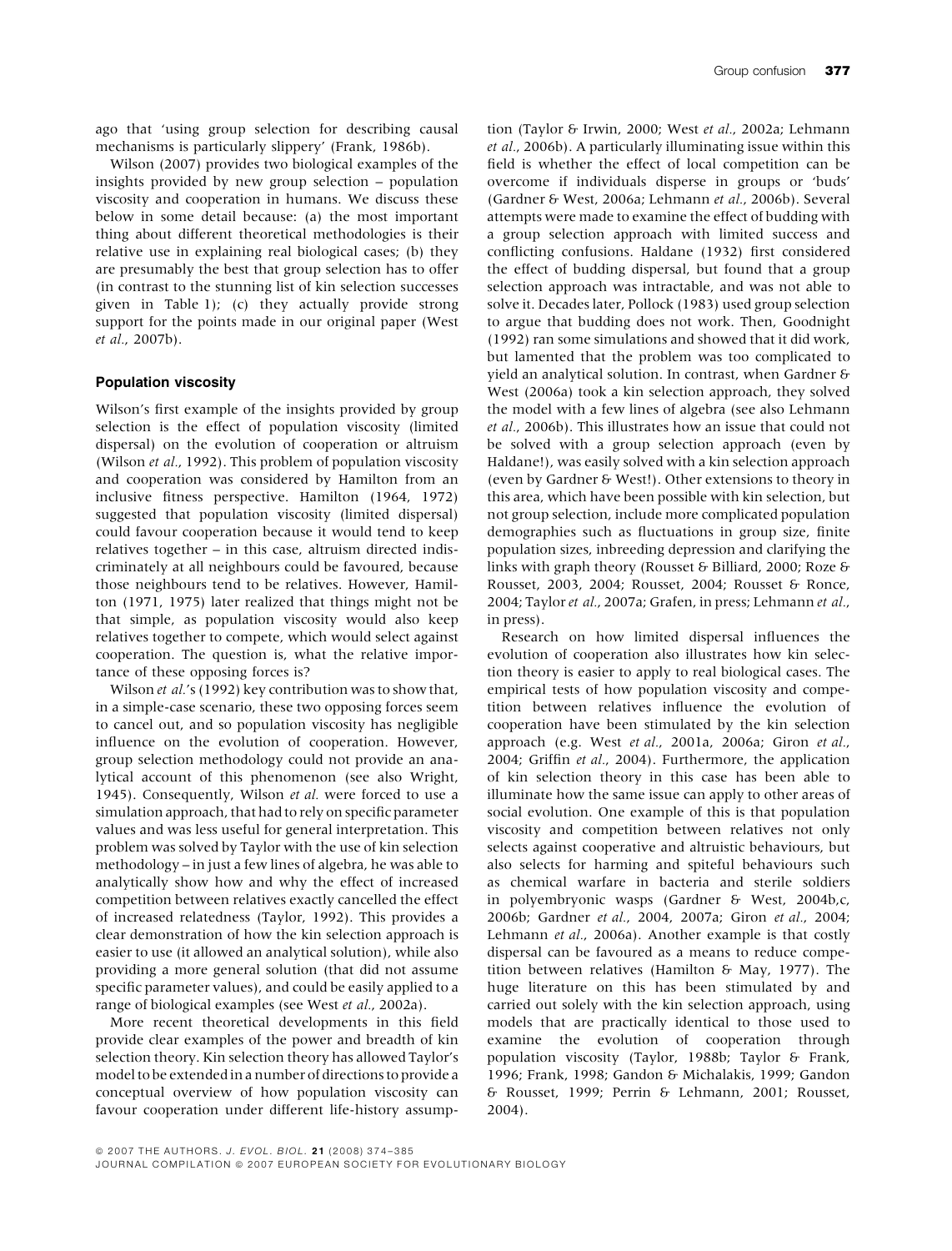ago that 'using group selection for describing causal mechanisms is particularly slippery' (Frank, 1986b).

Wilson (2007) provides two biological examples of the insights provided by new group selection – population viscosity and cooperation in humans. We discuss these below in some detail because: (a) the most important thing about different theoretical methodologies is their relative use in explaining real biological cases; (b) they are presumably the best that group selection has to offer (in contrast to the stunning list of kin selection successes given in Table 1); (c) they actually provide strong support for the points made in our original paper (West et al., 2007b).

#### Population viscosity

Wilson's first example of the insights provided by group selection is the effect of population viscosity (limited dispersal) on the evolution of cooperation or altruism (Wilson et al., 1992). This problem of population viscosity and cooperation was considered by Hamilton from an inclusive fitness perspective. Hamilton (1964, 1972) suggested that population viscosity (limited dispersal) could favour cooperation because it would tend to keep relatives together – in this case, altruism directed indiscriminately at all neighbours could be favoured, because those neighbours tend to be relatives. However, Hamilton (1971, 1975) later realized that things might not be that simple, as population viscosity would also keep relatives together to compete, which would select against cooperation. The question is, what the relative importance of these opposing forces is?

Wilson et al.'s (1992) key contribution was to show that, in a simple-case scenario, these two opposing forces seem to cancel out, and so population viscosity has negligible influence on the evolution of cooperation. However, group selection methodology could not provide an analytical account of this phenomenon (see also Wright, 1945). Consequently, Wilson et al. were forced to use a simulation approach, that had to rely on specific parameter values and was less useful for general interpretation. This problem was solved by Taylor with the use of kin selection methodology – in just a few lines of algebra, he was able to analytically show how and why the effect of increased competition between relatives exactly cancelled the effect of increased relatedness (Taylor, 1992). This provides a clear demonstration of how the kin selection approach is easier to use (it allowed an analytical solution), while also providing a more general solution (that did not assume specific parameter values), and could be easily applied to a range of biological examples (see West et al., 2002a).

More recent theoretical developments in this field provide clear examples of the power and breadth of kin selection theory. Kin selection theory has allowed Taylor's model to be extended in a number of directions to provide a conceptual overview of how population viscosity can favour cooperation under different life-history assumption (Taylor & Irwin, 2000; West et al., 2002a; Lehmann et al., 2006b). A particularly illuminating issue within this field is whether the effect of local competition can be overcome if individuals disperse in groups or 'buds' (Gardner & West, 2006a; Lehmann et al., 2006b). Several attempts were made to examine the effect of budding with a group selection approach with limited success and conflicting confusions. Haldane (1932) first considered the effect of budding dispersal, but found that a group selection approach was intractable, and was not able to solve it. Decades later, Pollock (1983) used group selection to argue that budding does not work. Then, Goodnight (1992) ran some simulations and showed that it did work, but lamented that the problem was too complicated to yield an analytical solution. In contrast, when Gardner & West (2006a) took a kin selection approach, they solved the model with a few lines of algebra (see also Lehmann et al., 2006b). This illustrates how an issue that could not be solved with a group selection approach (even by Haldane!), was easily solved with a kin selection approach (even by Gardner & West!). Other extensions to theory in this area, which have been possible with kin selection, but not group selection, include more complicated population demographies such as fluctuations in group size, finite population sizes, inbreeding depression and clarifying the links with graph theory (Rousset & Billiard, 2000; Roze & Rousset, 2003, 2004; Rousset, 2004; Rousset & Ronce, 2004; Taylor et al., 2007a; Grafen, in press; Lehmann et al., in press).

Research on how limited dispersal influences the evolution of cooperation also illustrates how kin selection theory is easier to apply to real biological cases. The empirical tests of how population viscosity and competition between relatives influence the evolution of cooperation have been stimulated by the kin selection approach (e.g. West et al., 2001a, 2006a; Giron et al., 2004; Griffin et al., 2004). Furthermore, the application of kin selection theory in this case has been able to illuminate how the same issue can apply to other areas of social evolution. One example of this is that population viscosity and competition between relatives not only selects against cooperative and altruistic behaviours, but also selects for harming and spiteful behaviours such as chemical warfare in bacteria and sterile soldiers in polyembryonic wasps (Gardner & West, 2004b,c, 2006b; Gardner et al., 2004, 2007a; Giron et al., 2004; Lehmann et al., 2006a). Another example is that costly dispersal can be favoured as a means to reduce competition between relatives (Hamilton & May, 1977). The huge literature on this has been stimulated by and carried out solely with the kin selection approach, using models that are practically identical to those used to examine the evolution of cooperation through population viscosity (Taylor, 1988b; Taylor & Frank, 1996; Frank, 1998; Gandon & Michalakis, 1999; Gandon & Rousset, 1999; Perrin & Lehmann, 2001; Rousset, 2004).

JOURNAL COMPILATION © 2007 EUROPEAN SOCIETY FOR EVOLUTIONARY BIOLOGY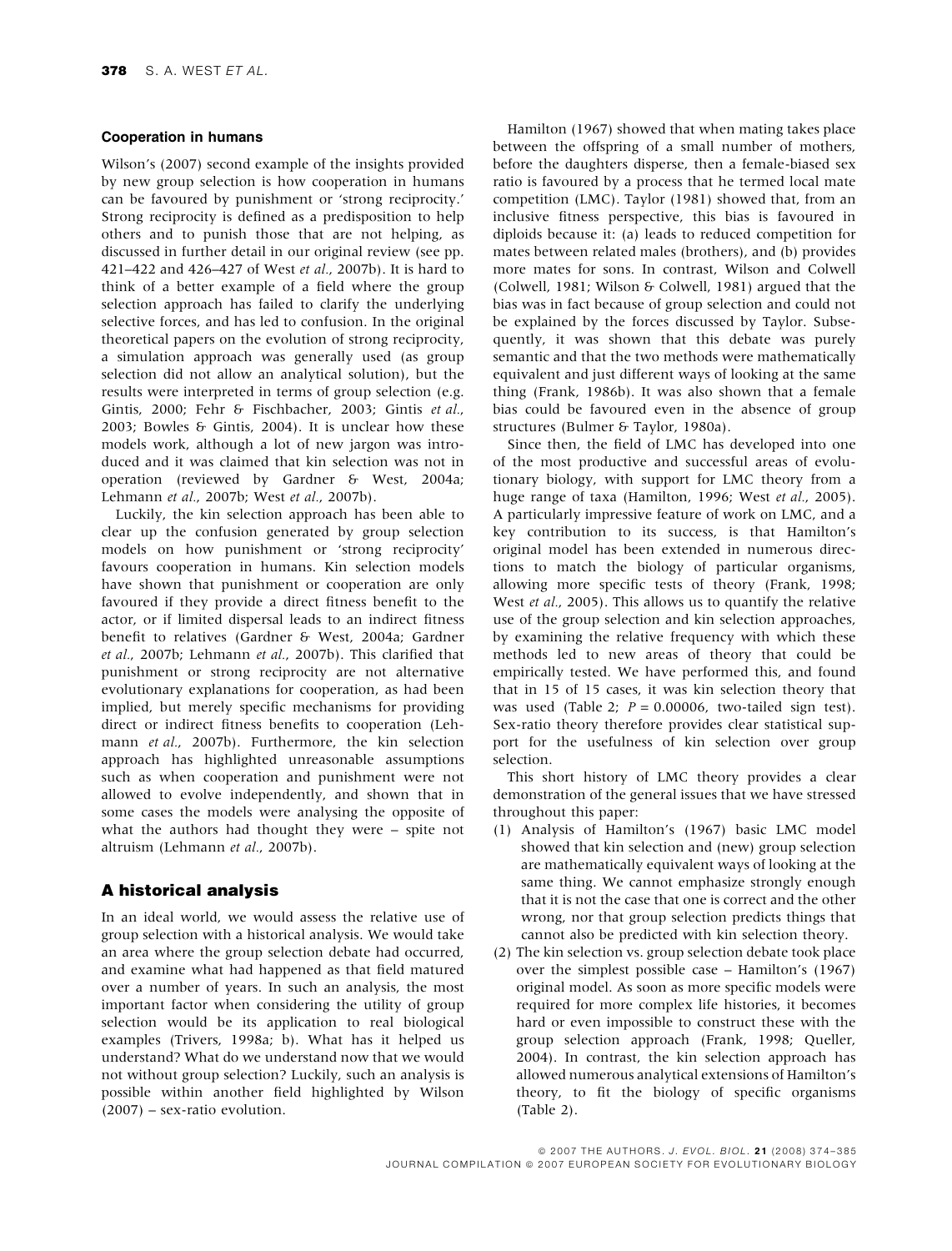#### Cooperation in humans

Wilson's (2007) second example of the insights provided by new group selection is how cooperation in humans can be favoured by punishment or 'strong reciprocity.' Strong reciprocity is defined as a predisposition to help others and to punish those that are not helping, as discussed in further detail in our original review (see pp. 421–422 and 426–427 of West et al., 2007b). It is hard to think of a better example of a field where the group selection approach has failed to clarify the underlying selective forces, and has led to confusion. In the original theoretical papers on the evolution of strong reciprocity, a simulation approach was generally used (as group selection did not allow an analytical solution), but the results were interpreted in terms of group selection (e.g. Gintis, 2000; Fehr & Fischbacher, 2003; Gintis et al., 2003; Bowles & Gintis, 2004). It is unclear how these models work, although a lot of new jargon was introduced and it was claimed that kin selection was not in operation (reviewed by Gardner & West, 2004a; Lehmann et al., 2007b; West et al., 2007b).

Luckily, the kin selection approach has been able to clear up the confusion generated by group selection models on how punishment or 'strong reciprocity' favours cooperation in humans. Kin selection models have shown that punishment or cooperation are only favoured if they provide a direct fitness benefit to the actor, or if limited dispersal leads to an indirect fitness benefit to relatives (Gardner & West, 2004a; Gardner et al., 2007b; Lehmann et al., 2007b). This clarified that punishment or strong reciprocity are not alternative evolutionary explanations for cooperation, as had been implied, but merely specific mechanisms for providing direct or indirect fitness benefits to cooperation (Lehmann et al., 2007b). Furthermore, the kin selection approach has highlighted unreasonable assumptions such as when cooperation and punishment were not allowed to evolve independently, and shown that in some cases the models were analysing the opposite of what the authors had thought they were – spite not altruism (Lehmann et al., 2007b).

### A historical analysis

In an ideal world, we would assess the relative use of group selection with a historical analysis. We would take an area where the group selection debate had occurred, and examine what had happened as that field matured over a number of years. In such an analysis, the most important factor when considering the utility of group selection would be its application to real biological examples (Trivers, 1998a; b). What has it helped us understand? What do we understand now that we would not without group selection? Luckily, such an analysis is possible within another field highlighted by Wilson  $(2007)$  – sex-ratio evolution.

Hamilton (1967) showed that when mating takes place between the offspring of a small number of mothers, before the daughters disperse, then a female-biased sex ratio is favoured by a process that he termed local mate competition (LMC). Taylor (1981) showed that, from an inclusive fitness perspective, this bias is favoured in diploids because it: (a) leads to reduced competition for mates between related males (brothers), and (b) provides more mates for sons. In contrast, Wilson and Colwell (Colwell, 1981; Wilson & Colwell, 1981) argued that the bias was in fact because of group selection and could not be explained by the forces discussed by Taylor. Subsequently, it was shown that this debate was purely semantic and that the two methods were mathematically equivalent and just different ways of looking at the same thing (Frank, 1986b). It was also shown that a female bias could be favoured even in the absence of group structures (Bulmer & Taylor, 1980a).

Since then, the field of LMC has developed into one of the most productive and successful areas of evolutionary biology, with support for LMC theory from a huge range of taxa (Hamilton, 1996; West et al., 2005). A particularly impressive feature of work on LMC, and a key contribution to its success, is that Hamilton's original model has been extended in numerous directions to match the biology of particular organisms, allowing more specific tests of theory (Frank, 1998; West et al., 2005). This allows us to quantify the relative use of the group selection and kin selection approaches, by examining the relative frequency with which these methods led to new areas of theory that could be empirically tested. We have performed this, and found that in 15 of 15 cases, it was kin selection theory that was used (Table 2;  $P = 0.00006$ , two-tailed sign test). Sex-ratio theory therefore provides clear statistical support for the usefulness of kin selection over group selection.

This short history of LMC theory provides a clear demonstration of the general issues that we have stressed throughout this paper:

- (1) Analysis of Hamilton's (1967) basic LMC model showed that kin selection and (new) group selection are mathematically equivalent ways of looking at the same thing. We cannot emphasize strongly enough that it is not the case that one is correct and the other wrong, nor that group selection predicts things that cannot also be predicted with kin selection theory.
- (2) The kin selection vs. group selection debate took place over the simplest possible case – Hamilton's (1967) original model. As soon as more specific models were required for more complex life histories, it becomes hard or even impossible to construct these with the group selection approach (Frank, 1998; Queller, 2004). In contrast, the kin selection approach has allowed numerous analytical extensions of Hamilton's theory, to fit the biology of specific organisms (Table 2).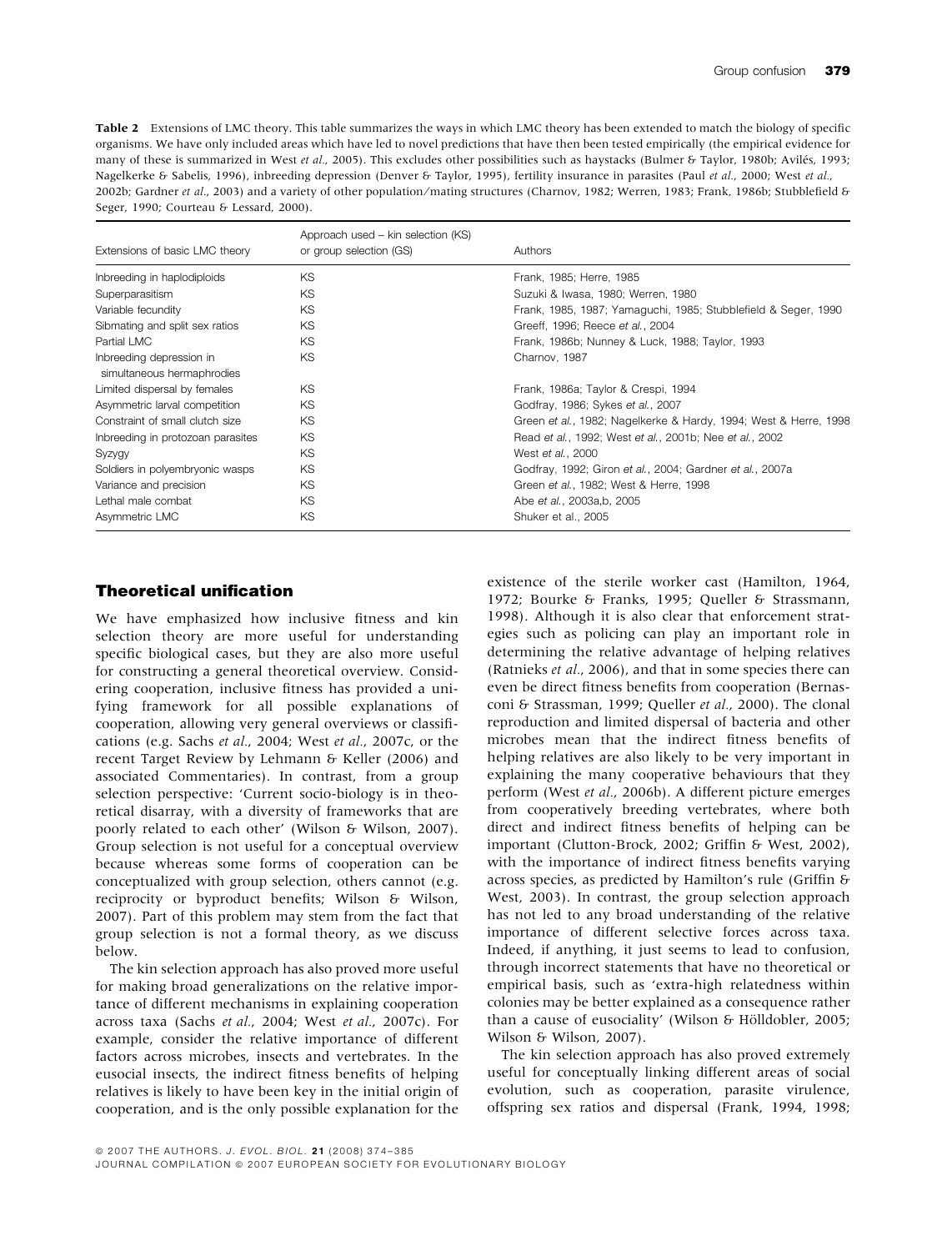Table 2 Extensions of LMC theory. This table summarizes the ways in which LMC theory has been extended to match the biology of specific organisms. We have only included areas which have led to novel predictions that have then been tested empirically (the empirical evidence for many of these is summarized in West et al., 2005). This excludes other possibilities such as haystacks (Bulmer & Taylor, 1980b; Avilés, 1993; Nagelkerke & Sabelis, 1996), inbreeding depression (Denver & Taylor, 1995), fertility insurance in parasites (Paul et al., 2000; West et al., 2002b; Gardner et al., 2003) and a variety of other population/mating structures (Charnov, 1982; Werren, 1983; Frank, 1986b; Stubblefield & Seger, 1990; Courteau & Lessard, 2000).

| Extensions of basic LMC theory                         | Approach used – kin selection (KS)<br>or group selection (GS) | Authors                                                          |
|--------------------------------------------------------|---------------------------------------------------------------|------------------------------------------------------------------|
| Inbreeding in haplodiploids                            | KS.                                                           | Frank, 1985; Herre, 1985                                         |
| Superparasitism                                        | KS.                                                           | Suzuki & Iwasa, 1980; Werren, 1980                               |
| Variable fecundity                                     | KS                                                            | Frank, 1985, 1987; Yamaguchi, 1985; Stubblefield & Seger, 1990   |
| Sibmating and split sex ratios                         | KS                                                            | Greeff, 1996; Reece et al., 2004                                 |
| Partial LMC                                            | KS.                                                           | Frank, 1986b; Nunney & Luck, 1988; Taylor, 1993                  |
| Inbreeding depression in<br>simultaneous hermaphrodies | KS                                                            | Charnov, 1987                                                    |
| Limited dispersal by females                           | KS                                                            | Frank, 1986a; Taylor & Crespi, 1994                              |
| Asymmetric larval competition                          | KS                                                            | Godfray, 1986; Sykes et al., 2007                                |
| Constraint of small clutch size                        | KS                                                            | Green et al., 1982; Nagelkerke & Hardy, 1994; West & Herre, 1998 |
| Inbreeding in protozoan parasites                      | KS                                                            | Read et al., 1992; West et al., 2001b; Nee et al., 2002          |
| Syzygy                                                 | KS                                                            | West et al., 2000                                                |
| Soldiers in polyembryonic wasps                        | KS                                                            | Godfray, 1992; Giron et al., 2004; Gardner et al., 2007a         |
| Variance and precision                                 | KS                                                            | Green et al., 1982; West & Herre, 1998                           |
| Lethal male combat                                     | KS                                                            | Abe et al., 2003a, b, 2005                                       |
| Asymmetric LMC                                         | KS                                                            | Shuker et al., 2005                                              |

# Theoretical unification

We have emphasized how inclusive fitness and kin selection theory are more useful for understanding specific biological cases, but they are also more useful for constructing a general theoretical overview. Considering cooperation, inclusive fitness has provided a unifying framework for all possible explanations of cooperation, allowing very general overviews or classifications (e.g. Sachs et al., 2004; West et al., 2007c, or the recent Target Review by Lehmann & Keller (2006) and associated Commentaries). In contrast, from a group selection perspective: 'Current socio-biology is in theoretical disarray, with a diversity of frameworks that are poorly related to each other' (Wilson & Wilson, 2007). Group selection is not useful for a conceptual overview because whereas some forms of cooperation can be conceptualized with group selection, others cannot (e.g. reciprocity or byproduct benefits; Wilson & Wilson, 2007). Part of this problem may stem from the fact that group selection is not a formal theory, as we discuss below.

The kin selection approach has also proved more useful for making broad generalizations on the relative importance of different mechanisms in explaining cooperation across taxa (Sachs et al., 2004; West et al., 2007c). For example, consider the relative importance of different factors across microbes, insects and vertebrates. In the eusocial insects, the indirect fitness benefits of helping relatives is likely to have been key in the initial origin of cooperation, and is the only possible explanation for the existence of the sterile worker cast (Hamilton, 1964, 1972; Bourke & Franks, 1995; Queller & Strassmann, 1998). Although it is also clear that enforcement strategies such as policing can play an important role in determining the relative advantage of helping relatives (Ratnieks et al., 2006), and that in some species there can even be direct fitness benefits from cooperation (Bernasconi & Strassman, 1999; Queller et al., 2000). The clonal reproduction and limited dispersal of bacteria and other microbes mean that the indirect fitness benefits of helping relatives are also likely to be very important in explaining the many cooperative behaviours that they perform (West et al., 2006b). A different picture emerges from cooperatively breeding vertebrates, where both direct and indirect fitness benefits of helping can be important (Clutton-Brock, 2002; Griffin & West, 2002), with the importance of indirect fitness benefits varying across species, as predicted by Hamilton's rule (Griffin & West, 2003). In contrast, the group selection approach has not led to any broad understanding of the relative importance of different selective forces across taxa. Indeed, if anything, it just seems to lead to confusion, through incorrect statements that have no theoretical or empirical basis, such as 'extra-high relatedness within colonies may be better explained as a consequence rather than a cause of eusociality' (Wilson & Hölldobler, 2005; Wilson & Wilson, 2007).

The kin selection approach has also proved extremely useful for conceptually linking different areas of social evolution, such as cooperation, parasite virulence, offspring sex ratios and dispersal (Frank, 1994, 1998;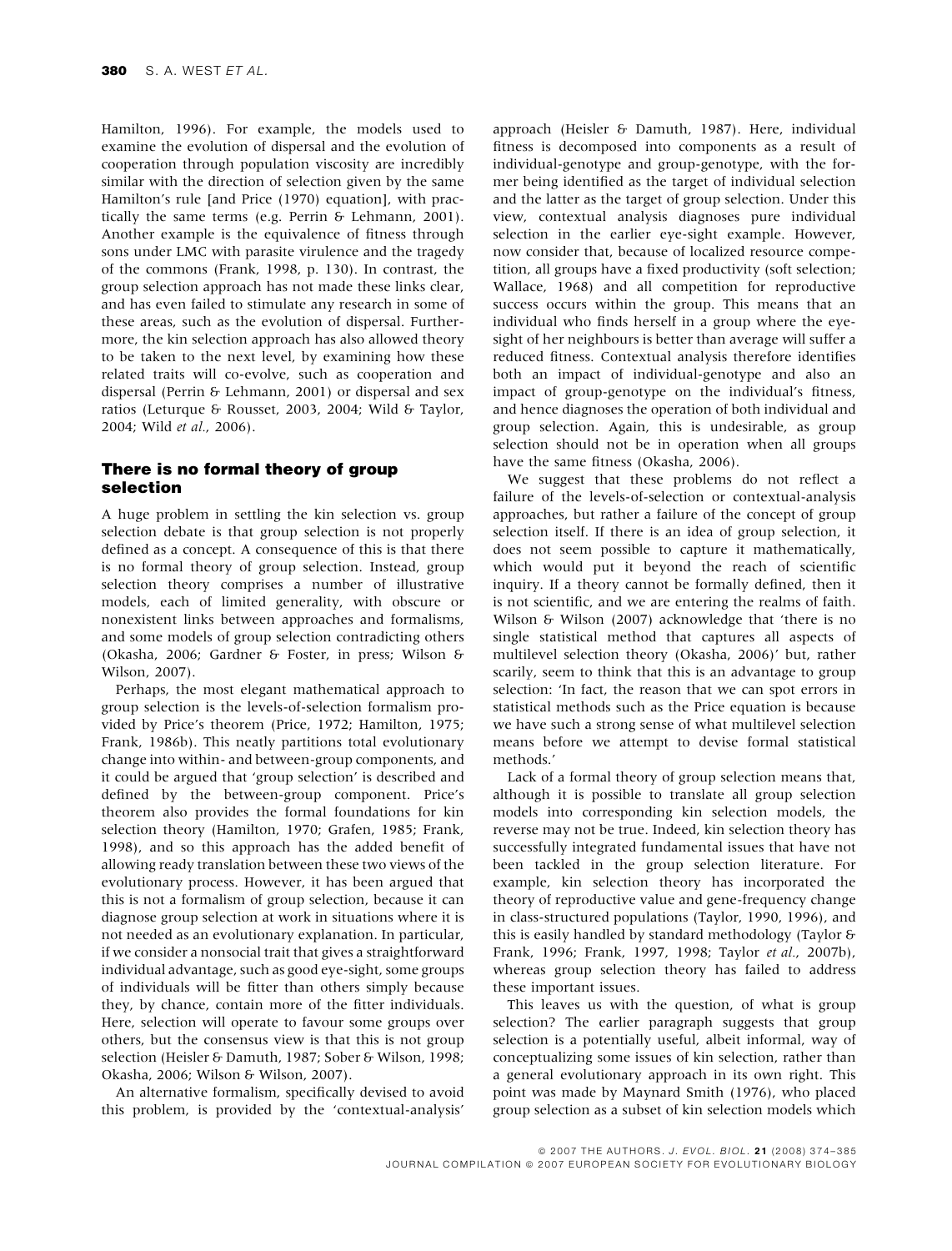Hamilton, 1996). For example, the models used to examine the evolution of dispersal and the evolution of cooperation through population viscosity are incredibly similar with the direction of selection given by the same Hamilton's rule [and Price (1970) equation], with practically the same terms (e.g. Perrin & Lehmann, 2001). Another example is the equivalence of fitness through sons under LMC with parasite virulence and the tragedy of the commons (Frank, 1998, p. 130). In contrast, the group selection approach has not made these links clear, and has even failed to stimulate any research in some of these areas, such as the evolution of dispersal. Furthermore, the kin selection approach has also allowed theory to be taken to the next level, by examining how these related traits will co-evolve, such as cooperation and dispersal (Perrin & Lehmann, 2001) or dispersal and sex ratios (Leturque & Rousset, 2003, 2004; Wild & Taylor, 2004; Wild et al., 2006).

### There is no formal theory of group selection

A huge problem in settling the kin selection vs. group selection debate is that group selection is not properly defined as a concept. A consequence of this is that there is no formal theory of group selection. Instead, group selection theory comprises a number of illustrative models, each of limited generality, with obscure or nonexistent links between approaches and formalisms, and some models of group selection contradicting others (Okasha, 2006; Gardner & Foster, in press; Wilson & Wilson, 2007).

Perhaps, the most elegant mathematical approach to group selection is the levels-of-selection formalism provided by Price's theorem (Price, 1972; Hamilton, 1975; Frank, 1986b). This neatly partitions total evolutionary change into within- and between-group components, and it could be argued that 'group selection' is described and defined by the between-group component. Price's theorem also provides the formal foundations for kin selection theory (Hamilton, 1970; Grafen, 1985; Frank, 1998), and so this approach has the added benefit of allowing ready translation between these two views of the evolutionary process. However, it has been argued that this is not a formalism of group selection, because it can diagnose group selection at work in situations where it is not needed as an evolutionary explanation. In particular, if we consider a nonsocial trait that gives a straightforward individual advantage, such as good eye-sight, some groups of individuals will be fitter than others simply because they, by chance, contain more of the fitter individuals. Here, selection will operate to favour some groups over others, but the consensus view is that this is not group selection (Heisler & Damuth, 1987; Sober & Wilson, 1998; Okasha, 2006; Wilson & Wilson, 2007).

An alternative formalism, specifically devised to avoid this problem, is provided by the 'contextual-analysis' approach (Heisler & Damuth, 1987). Here, individual fitness is decomposed into components as a result of individual-genotype and group-genotype, with the former being identified as the target of individual selection and the latter as the target of group selection. Under this view, contextual analysis diagnoses pure individual selection in the earlier eye-sight example. However, now consider that, because of localized resource competition, all groups have a fixed productivity (soft selection; Wallace, 1968) and all competition for reproductive success occurs within the group. This means that an individual who finds herself in a group where the eyesight of her neighbours is better than average will suffer a reduced fitness. Contextual analysis therefore identifies both an impact of individual-genotype and also an impact of group-genotype on the individual's fitness, and hence diagnoses the operation of both individual and group selection. Again, this is undesirable, as group selection should not be in operation when all groups have the same fitness (Okasha, 2006).

We suggest that these problems do not reflect a failure of the levels-of-selection or contextual-analysis approaches, but rather a failure of the concept of group selection itself. If there is an idea of group selection, it does not seem possible to capture it mathematically, which would put it beyond the reach of scientific inquiry. If a theory cannot be formally defined, then it is not scientific, and we are entering the realms of faith. Wilson & Wilson (2007) acknowledge that 'there is no single statistical method that captures all aspects of multilevel selection theory (Okasha, 2006)' but, rather scarily, seem to think that this is an advantage to group selection: 'In fact, the reason that we can spot errors in statistical methods such as the Price equation is because we have such a strong sense of what multilevel selection means before we attempt to devise formal statistical methods.'

Lack of a formal theory of group selection means that, although it is possible to translate all group selection models into corresponding kin selection models, the reverse may not be true. Indeed, kin selection theory has successfully integrated fundamental issues that have not been tackled in the group selection literature. For example, kin selection theory has incorporated the theory of reproductive value and gene-frequency change in class-structured populations (Taylor, 1990, 1996), and this is easily handled by standard methodology (Taylor & Frank, 1996; Frank, 1997, 1998; Taylor et al., 2007b), whereas group selection theory has failed to address these important issues.

This leaves us with the question, of what is group selection? The earlier paragraph suggests that group selection is a potentially useful, albeit informal, way of conceptualizing some issues of kin selection, rather than a general evolutionary approach in its own right. This point was made by Maynard Smith (1976), who placed group selection as a subset of kin selection models which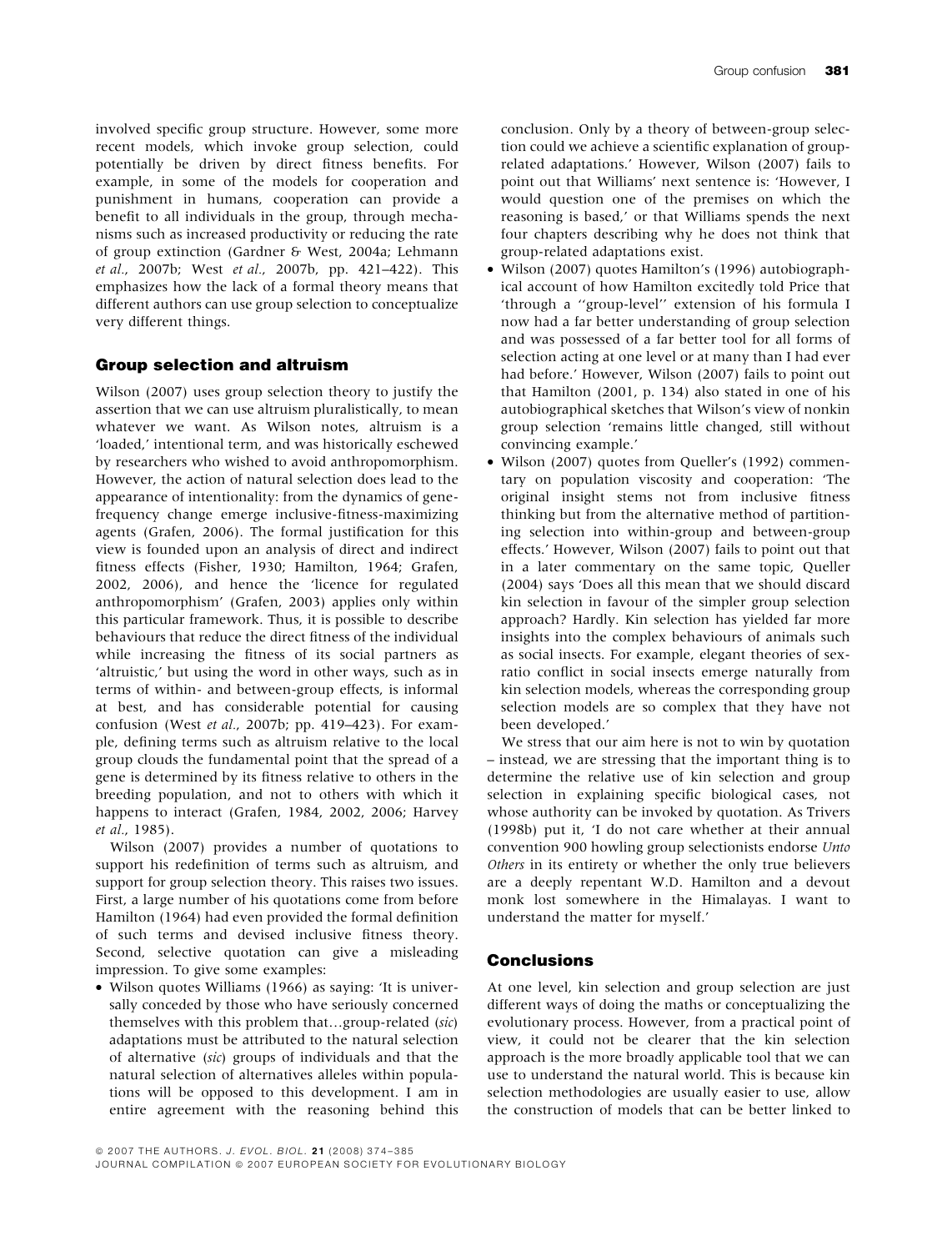involved specific group structure. However, some more recent models, which invoke group selection, could potentially be driven by direct fitness benefits. For example, in some of the models for cooperation and punishment in humans, cooperation can provide a benefit to all individuals in the group, through mechanisms such as increased productivity or reducing the rate of group extinction (Gardner & West, 2004a; Lehmann et al., 2007b; West et al., 2007b, pp. 421–422). This emphasizes how the lack of a formal theory means that different authors can use group selection to conceptualize very different things.

# Group selection and altruism

Wilson (2007) uses group selection theory to justify the assertion that we can use altruism pluralistically, to mean whatever we want. As Wilson notes, altruism is a 'loaded,' intentional term, and was historically eschewed by researchers who wished to avoid anthropomorphism. However, the action of natural selection does lead to the appearance of intentionality: from the dynamics of genefrequency change emerge inclusive-fitness-maximizing agents (Grafen, 2006). The formal justification for this view is founded upon an analysis of direct and indirect fitness effects (Fisher, 1930; Hamilton, 1964; Grafen, 2002, 2006), and hence the 'licence for regulated anthropomorphism' (Grafen, 2003) applies only within this particular framework. Thus, it is possible to describe behaviours that reduce the direct fitness of the individual while increasing the fitness of its social partners as 'altruistic,' but using the word in other ways, such as in terms of within- and between-group effects, is informal at best, and has considerable potential for causing confusion (West et al., 2007b; pp. 419–423). For example, defining terms such as altruism relative to the local group clouds the fundamental point that the spread of a gene is determined by its fitness relative to others in the breeding population, and not to others with which it happens to interact (Grafen, 1984, 2002, 2006; Harvey et al., 1985).

Wilson (2007) provides a number of quotations to support his redefinition of terms such as altruism, and support for group selection theory. This raises two issues. First, a large number of his quotations come from before Hamilton (1964) had even provided the formal definition of such terms and devised inclusive fitness theory. Second, selective quotation can give a misleading impression. To give some examples:

• Wilson quotes Williams (1966) as saying: 'It is universally conceded by those who have seriously concerned themselves with this problem that…group-related (sic) adaptations must be attributed to the natural selection of alternative (sic) groups of individuals and that the natural selection of alternatives alleles within populations will be opposed to this development. I am in entire agreement with the reasoning behind this conclusion. Only by a theory of between-group selection could we achieve a scientific explanation of grouprelated adaptations.' However, Wilson (2007) fails to point out that Williams' next sentence is: 'However, I would question one of the premises on which the reasoning is based,' or that Williams spends the next four chapters describing why he does not think that group-related adaptations exist.

- Wilson (2007) quotes Hamilton's (1996) autobiographical account of how Hamilton excitedly told Price that 'through a ''group-level'' extension of his formula I now had a far better understanding of group selection and was possessed of a far better tool for all forms of selection acting at one level or at many than I had ever had before.' However, Wilson (2007) fails to point out that Hamilton (2001, p. 134) also stated in one of his autobiographical sketches that Wilson's view of nonkin group selection 'remains little changed, still without convincing example.'
- Wilson (2007) quotes from Queller's (1992) commentary on population viscosity and cooperation: 'The original insight stems not from inclusive fitness thinking but from the alternative method of partitioning selection into within-group and between-group effects.' However, Wilson (2007) fails to point out that in a later commentary on the same topic, Queller (2004) says 'Does all this mean that we should discard kin selection in favour of the simpler group selection approach? Hardly. Kin selection has yielded far more insights into the complex behaviours of animals such as social insects. For example, elegant theories of sexratio conflict in social insects emerge naturally from kin selection models, whereas the corresponding group selection models are so complex that they have not been developed.'

We stress that our aim here is not to win by quotation – instead, we are stressing that the important thing is to determine the relative use of kin selection and group selection in explaining specific biological cases, not whose authority can be invoked by quotation. As Trivers (1998b) put it, 'I do not care whether at their annual convention 900 howling group selectionists endorse Unto Others in its entirety or whether the only true believers are a deeply repentant W.D. Hamilton and a devout monk lost somewhere in the Himalayas. I want to understand the matter for myself.'

# Conclusions

At one level, kin selection and group selection are just different ways of doing the maths or conceptualizing the evolutionary process. However, from a practical point of view, it could not be clearer that the kin selection approach is the more broadly applicable tool that we can use to understand the natural world. This is because kin selection methodologies are usually easier to use, allow the construction of models that can be better linked to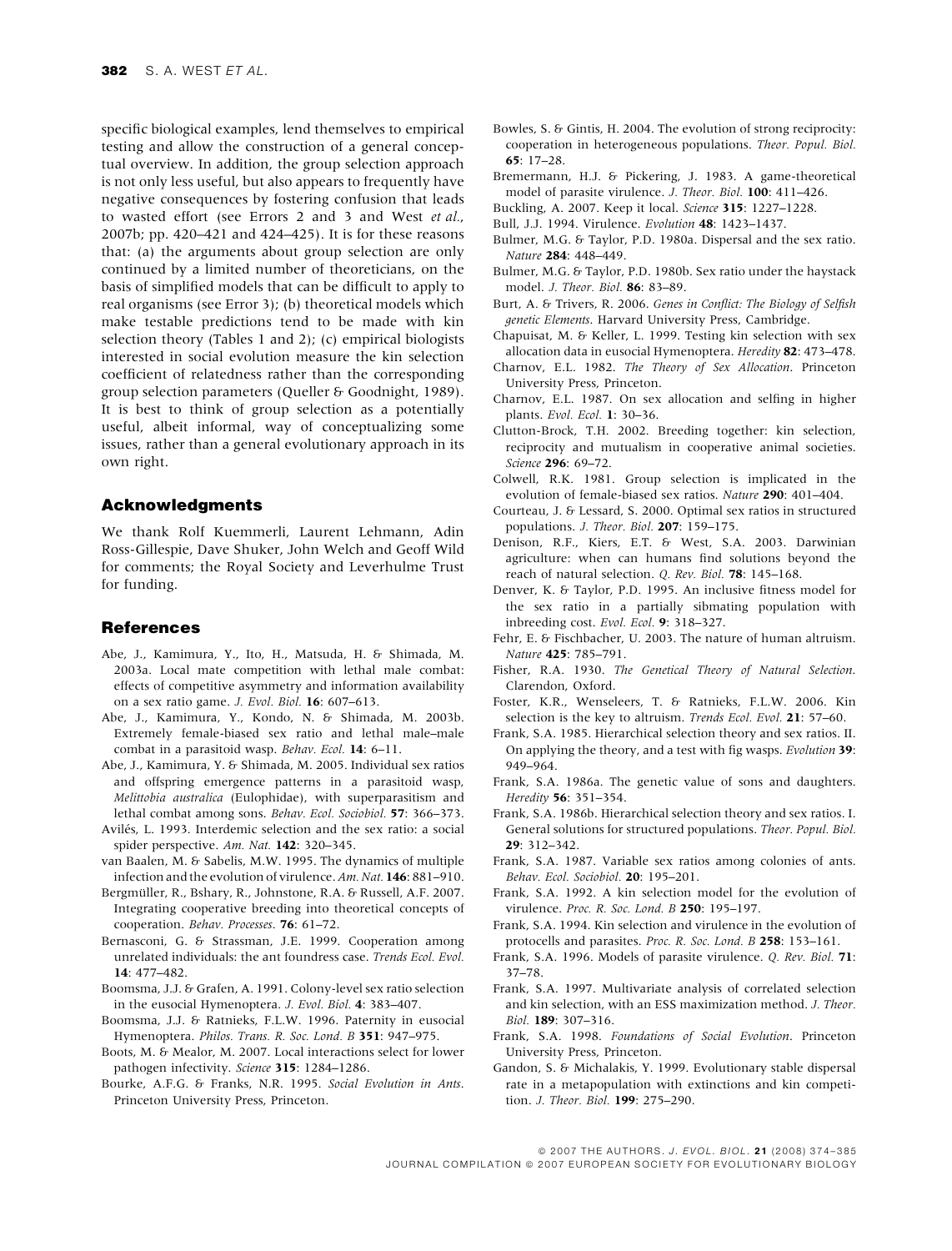specific biological examples, lend themselves to empirical testing and allow the construction of a general conceptual overview. In addition, the group selection approach is not only less useful, but also appears to frequently have negative consequences by fostering confusion that leads to wasted effort (see Errors 2 and 3 and West et al., 2007b; pp. 420–421 and 424–425). It is for these reasons that: (a) the arguments about group selection are only continued by a limited number of theoreticians, on the basis of simplified models that can be difficult to apply to real organisms (see Error 3); (b) theoretical models which make testable predictions tend to be made with kin selection theory (Tables 1 and 2); (c) empirical biologists interested in social evolution measure the kin selection coefficient of relatedness rather than the corresponding group selection parameters (Queller & Goodnight, 1989). It is best to think of group selection as a potentially useful, albeit informal, way of conceptualizing some issues, rather than a general evolutionary approach in its own right.

#### Acknowledgments

We thank Rolf Kuemmerli, Laurent Lehmann, Adin Ross-Gillespie, Dave Shuker, John Welch and Geoff Wild for comments; the Royal Society and Leverhulme Trust for funding.

#### **References**

- Abe, J., Kamimura, Y., Ito, H., Matsuda, H. & Shimada, M. 2003a. Local mate competition with lethal male combat: effects of competitive asymmetry and information availability on a sex ratio game. J. Evol. Biol. 16: 607–613.
- Abe, J., Kamimura, Y., Kondo, N. & Shimada, M. 2003b. Extremely female-biased sex ratio and lethal male–male combat in a parasitoid wasp. Behav. Ecol. 14: 6-11.
- Abe, J., Kamimura, Y. & Shimada, M. 2005. Individual sex ratios and offspring emergence patterns in a parasitoid wasp, Melittobia australica (Eulophidae), with superparasitism and lethal combat among sons. Behav. Ecol. Sociobiol. 57: 366–373.
- Avilés, L. 1993. Interdemic selection and the sex ratio: a social spider perspective. Am. Nat. 142: 320-345.
- van Baalen, M. & Sabelis, M.W. 1995. The dynamics of multiple infection and the evolution of virulence.Am. Nat. 146: 881–910.
- Bergmüller, R., Bshary, R., Johnstone, R.A. & Russell, A.F. 2007. Integrating cooperative breeding into theoretical concepts of cooperation. Behav. Processes. 76: 61–72.
- Bernasconi, G. & Strassman, J.E. 1999. Cooperation among unrelated individuals: the ant foundress case. Trends Ecol. Evol.  $14.477 - 482$
- Boomsma, J.J. & Grafen, A. 1991. Colony-level sex ratio selection in the eusocial Hymenoptera. J. Evol. Biol. 4: 383–407.
- Boomsma, J.J. & Ratnieks, F.L.W. 1996. Paternity in eusocial Hymenoptera. Philos. Trans. R. Soc. Lond. B 351: 947–975.
- Boots, M. & Mealor, M. 2007. Local interactions select for lower pathogen infectivity. Science 315: 1284–1286.
- Bourke, A.F.G. & Franks, N.R. 1995. Social Evolution in Ants. Princeton University Press, Princeton.
- Bowles, S. & Gintis, H. 2004. The evolution of strong reciprocity: cooperation in heterogeneous populations. Theor. Popul. Biol. 65: 17–28.
- Bremermann, H.J. & Pickering, J. 1983. A game-theoretical model of parasite virulence. J. Theor. Biol. 100: 411–426.
- Buckling, A. 2007. Keep it local. Science 315: 1227–1228.
- Bull, J.J. 1994. Virulence. Evolution 48: 1423–1437.
- Bulmer, M.G. & Taylor, P.D. 1980a. Dispersal and the sex ratio. Nature 284: 448–449.
- Bulmer, M.G. & Taylor, P.D. 1980b. Sex ratio under the haystack model. J. Theor. Biol. 86: 83–89.
- Burt, A. & Trivers, R. 2006. Genes in Conflict: The Biology of Selfish genetic Elements. Harvard University Press, Cambridge.
- Chapuisat, M. & Keller, L. 1999. Testing kin selection with sex allocation data in eusocial Hymenoptera. Heredity 82: 473–478.
- Charnov, E.L. 1982. The Theory of Sex Allocation. Princeton University Press, Princeton.
- Charnov, E.L. 1987. On sex allocation and selfing in higher plants. Evol. Ecol. 1: 30–36.
- Clutton-Brock, T.H. 2002. Breeding together: kin selection, reciprocity and mutualism in cooperative animal societies. Science 296: 69-72.
- Colwell, R.K. 1981. Group selection is implicated in the evolution of female-biased sex ratios. Nature 290: 401–404.
- Courteau, J. & Lessard, S. 2000. Optimal sex ratios in structured populations. J. Theor. Biol. 207: 159–175.
- Denison, R.F., Kiers, E.T. & West, S.A. 2003. Darwinian agriculture: when can humans find solutions beyond the reach of natural selection. Q. Rev. Biol. 78: 145–168.
- Denver, K. & Taylor, P.D. 1995. An inclusive fitness model for the sex ratio in a partially sibmating population with inbreeding cost. Evol. Ecol. 9: 318–327.
- Fehr, E. & Fischbacher, U. 2003. The nature of human altruism. Nature 425: 785–791.
- Fisher, R.A. 1930. The Genetical Theory of Natural Selection. Clarendon, Oxford.
- Foster, K.R., Wenseleers, T. & Ratnieks, F.L.W. 2006. Kin selection is the key to altruism. Trends Ecol. Evol. 21: 57-60.
- Frank, S.A. 1985. Hierarchical selection theory and sex ratios. II. On applying the theory, and a test with fig wasps. Evolution 39: 949–964.
- Frank, S.A. 1986a. The genetic value of sons and daughters. Heredity 56: 351–354.
- Frank, S.A. 1986b. Hierarchical selection theory and sex ratios. I. General solutions for structured populations. Theor. Popul. Biol. 29: 312–342.
- Frank, S.A. 1987. Variable sex ratios among colonies of ants. Behav. Ecol. Sociobiol. 20: 195–201.
- Frank, S.A. 1992. A kin selection model for the evolution of virulence. Proc. R. Soc. Lond. B 250: 195–197.
- Frank, S.A. 1994. Kin selection and virulence in the evolution of protocells and parasites. Proc. R. Soc. Lond. B 258: 153–161.
- Frank, S.A. 1996. Models of parasite virulence. Q. Rev. Biol. 71: 37–78.
- Frank, S.A. 1997. Multivariate analysis of correlated selection and kin selection, with an ESS maximization method. J. Theor. Biol. 189: 307–316.
- Frank, S.A. 1998. Foundations of Social Evolution. Princeton University Press, Princeton.
- Gandon, S. & Michalakis, Y. 1999. Evolutionary stable dispersal rate in a metapopulation with extinctions and kin competition. J. Theor. Biol. 199: 275–290.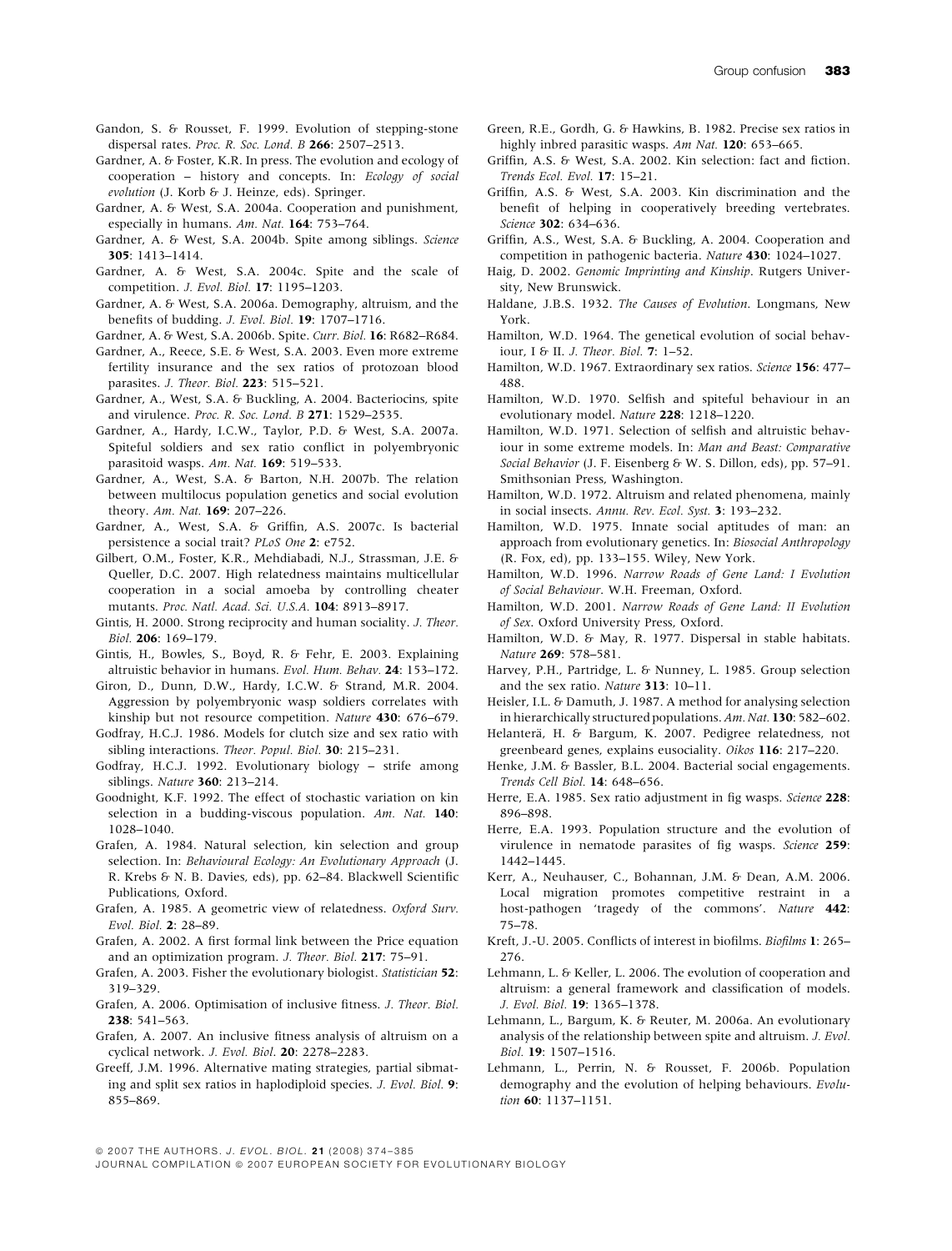- Gandon, S. & Rousset, F. 1999. Evolution of stepping-stone dispersal rates. Proc. R. Soc. Lond. B 266: 2507–2513.
- Gardner, A. & Foster, K.R. In press. The evolution and ecology of cooperation – history and concepts. In: Ecology of social evolution (J. Korb & J. Heinze, eds). Springer.
- Gardner, A. & West, S.A. 2004a. Cooperation and punishment, especially in humans. Am. Nat. 164: 753–764.
- Gardner, A. & West, S.A. 2004b. Spite among siblings. Science 305: 1413–1414.
- Gardner, A. & West, S.A. 2004c. Spite and the scale of competition. J. Evol. Biol. 17: 1195–1203.
- Gardner, A. & West, S.A. 2006a. Demography, altruism, and the benefits of budding. J. Evol. Biol. 19: 1707–1716.
- Gardner, A. & West, S.A. 2006b. Spite. Curr. Biol. 16: R682–R684.
- Gardner, A., Reece, S.E. & West, S.A. 2003. Even more extreme fertility insurance and the sex ratios of protozoan blood parasites. J. Theor. Biol. 223: 515-521.
- Gardner, A., West, S.A. & Buckling, A. 2004. Bacteriocins, spite and virulence. Proc. R. Soc. Lond. B 271: 1529–2535.
- Gardner, A., Hardy, I.C.W., Taylor, P.D. & West, S.A. 2007a. Spiteful soldiers and sex ratio conflict in polyembryonic parasitoid wasps. Am. Nat. 169: 519–533.
- Gardner, A., West, S.A. & Barton, N.H. 2007b. The relation between multilocus population genetics and social evolution theory. Am. Nat. 169: 207–226.
- Gardner, A., West, S.A. & Griffin, A.S. 2007c. Is bacterial persistence a social trait? PLoS One 2: e752.
- Gilbert, O.M., Foster, K.R., Mehdiabadi, N.J., Strassman, J.E. & Queller, D.C. 2007. High relatedness maintains multicellular cooperation in a social amoeba by controlling cheater mutants. Proc. Natl. Acad. Sci. U.S.A. 104: 8913–8917.
- Gintis, H. 2000. Strong reciprocity and human sociality. J. Theor. Biol. 206: 169–179.
- Gintis, H., Bowles, S., Boyd, R. & Fehr, E. 2003. Explaining altruistic behavior in humans. Evol. Hum. Behav. 24: 153–172.
- Giron, D., Dunn, D.W., Hardy, I.C.W. & Strand, M.R. 2004. Aggression by polyembryonic wasp soldiers correlates with kinship but not resource competition. Nature 430: 676–679.
- Godfray, H.C.J. 1986. Models for clutch size and sex ratio with sibling interactions. Theor. Popul. Biol. 30: 215-231.
- Godfray, H.C.J. 1992. Evolutionary biology strife among siblings. Nature 360: 213–214.
- Goodnight, K.F. 1992. The effect of stochastic variation on kin selection in a budding-viscous population. Am. Nat. 140: 1028–1040.
- Grafen, A. 1984. Natural selection, kin selection and group selection. In: Behavioural Ecology: An Evolutionary Approach (J. R. Krebs & N. B. Davies, eds), pp. 62–84. Blackwell Scientific Publications, Oxford.
- Grafen, A. 1985. A geometric view of relatedness. Oxford Surv. Evol. Biol. 2: 28–89.
- Grafen, A. 2002. A first formal link between the Price equation and an optimization program. J. Theor. Biol. 217: 75–91.
- Grafen, A. 2003. Fisher the evolutionary biologist. Statistician 52: 319–329.
- Grafen, A. 2006. Optimisation of inclusive fitness. J. Theor. Biol. 238: 541–563.
- Grafen, A. 2007. An inclusive fitness analysis of altruism on a cyclical network. J. Evol. Biol. 20: 2278–2283.
- Greeff, J.M. 1996. Alternative mating strategies, partial sibmating and split sex ratios in haplodiploid species. J. Evol. Biol. 9: 855–869.
- Green, R.E., Gordh, G. & Hawkins, B. 1982. Precise sex ratios in highly inbred parasitic wasps. Am Nat. 120: 653-665.
- Griffin, A.S. & West, S.A. 2002. Kin selection: fact and fiction. Trends Ecol. Evol. 17: 15–21.
- Griffin, A.S. & West, S.A. 2003. Kin discrimination and the benefit of helping in cooperatively breeding vertebrates. Science 302: 634–636.
- Griffin, A.S., West, S.A. & Buckling, A. 2004. Cooperation and competition in pathogenic bacteria. Nature 430: 1024–1027.
- Haig, D. 2002. Genomic Imprinting and Kinship. Rutgers University, New Brunswick.
- Haldane, J.B.S. 1932. The Causes of Evolution. Longmans, New York.
- Hamilton, W.D. 1964. The genetical evolution of social behaviour, I & II. J. Theor. Biol. 7: 1–52.
- Hamilton, W.D. 1967. Extraordinary sex ratios. Science 156: 477-488.
- Hamilton, W.D. 1970. Selfish and spiteful behaviour in an evolutionary model. Nature 228: 1218–1220.
- Hamilton, W.D. 1971. Selection of selfish and altruistic behaviour in some extreme models. In: Man and Beast: Comparative Social Behavior (J. F. Eisenberg & W. S. Dillon, eds), pp. 57–91. Smithsonian Press, Washington.
- Hamilton, W.D. 1972. Altruism and related phenomena, mainly in social insects. Annu. Rev. Ecol. Syst. 3: 193–232.
- Hamilton, W.D. 1975. Innate social aptitudes of man: an approach from evolutionary genetics. In: Biosocial Anthropology (R. Fox, ed), pp. 133–155. Wiley, New York.
- Hamilton, W.D. 1996. Narrow Roads of Gene Land: I Evolution of Social Behaviour. W.H. Freeman, Oxford.
- Hamilton, W.D. 2001. Narrow Roads of Gene Land: II Evolution of Sex. Oxford University Press, Oxford.
- Hamilton, W.D. & May, R. 1977. Dispersal in stable habitats. Nature 269: 578–581.
- Harvey, P.H., Partridge, L. & Nunney, L. 1985. Group selection and the sex ratio. Nature 313: 10–11.
- Heisler, I.L. & Damuth, J. 1987. A method for analysing selection in hierarchically structured populations.Am. Nat. 130: 582–602.
- Helanterä, H. & Bargum, K. 2007. Pedigree relatedness, not greenbeard genes, explains eusociality. Oikos 116: 217–220.
- Henke, J.M. & Bassler, B.L. 2004. Bacterial social engagements. Trends Cell Biol. 14: 648–656.
- Herre, E.A. 1985. Sex ratio adjustment in fig wasps. Science 228: 896–898.
- Herre, E.A. 1993. Population structure and the evolution of virulence in nematode parasites of fig wasps. Science 259: 1442–1445.
- Kerr, A., Neuhauser, C., Bohannan, J.M. & Dean, A.M. 2006. Local migration promotes competitive restraint in a host-pathogen 'tragedy of the commons'. Nature **442**: 75–78.
- Kreft, J.-U. 2005. Conflicts of interest in biofilms. Biofilms 1: 265– 276.
- Lehmann, L. & Keller, L. 2006. The evolution of cooperation and altruism: a general framework and classification of models. J. Evol. Biol. 19: 1365–1378.
- Lehmann, L., Bargum, K. & Reuter, M. 2006a. An evolutionary analysis of the relationship between spite and altruism. J. Evol. Biol. 19: 1507–1516.
- Lehmann, L., Perrin, N. & Rousset, F. 2006b. Population demography and the evolution of helping behaviours. Evolution **60**: 1137-1151.

<sup>© 2007</sup> THE AUTHORS. J. EVOL. BIOL. 21 (2008) 374-385

JOURNAL COMPILATION © 2007 EUROPEAN SOCIETY FOR EVOLUTIONARY BIOLOGY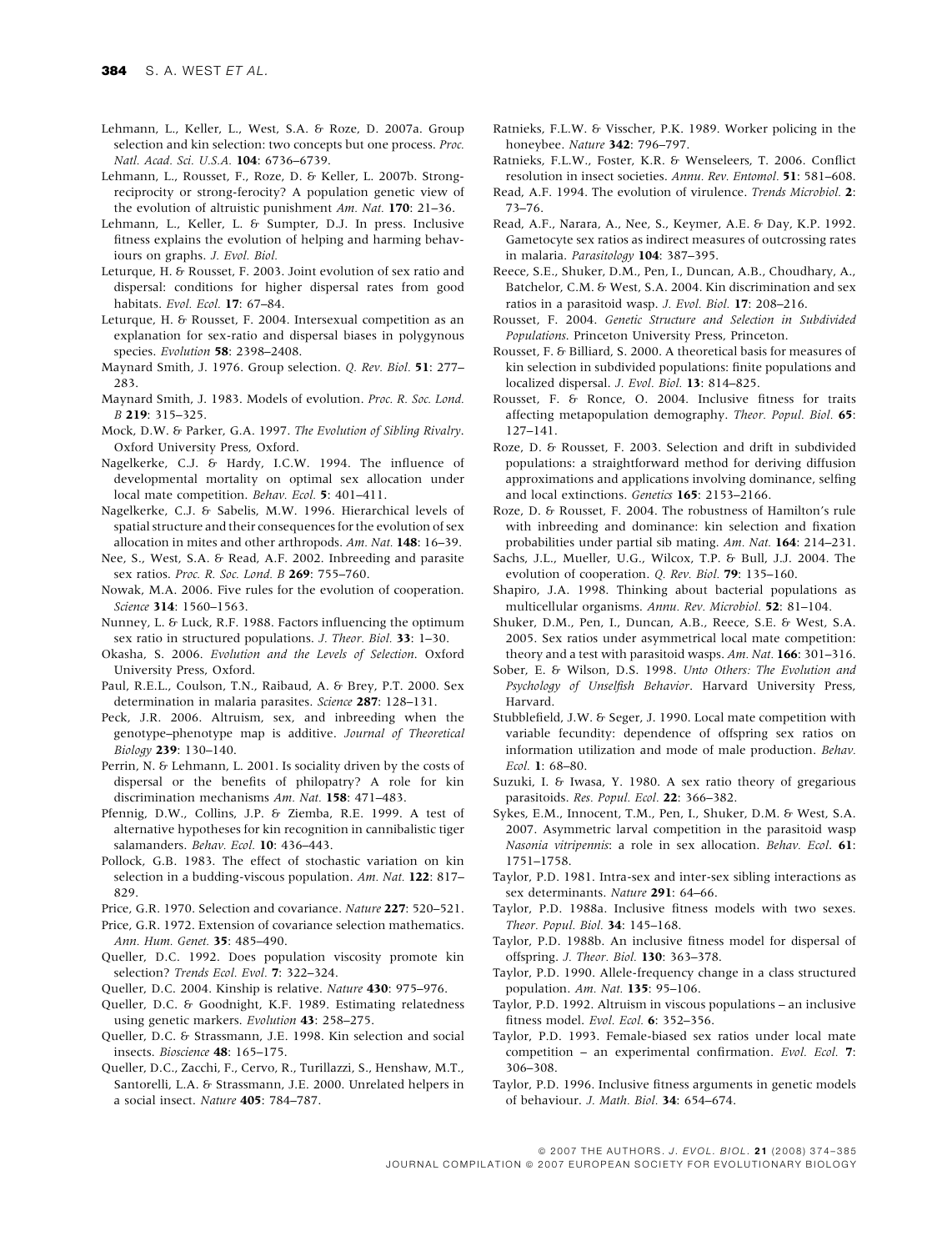- Lehmann, L., Keller, L., West, S.A. & Roze, D. 2007a. Group selection and kin selection: two concepts but one process. Proc. Natl. Acad. Sci. U.S.A. 104: 6736–6739.
- Lehmann, L., Rousset, F., Roze, D. & Keller, L. 2007b. Strongreciprocity or strong-ferocity? A population genetic view of the evolution of altruistic punishment Am. Nat. 170: 21-36.
- Lehmann, L., Keller, L. & Sumpter, D.J. In press. Inclusive fitness explains the evolution of helping and harming behaviours on graphs. J. Evol. Biol.
- Leturque, H. & Rousset, F. 2003. Joint evolution of sex ratio and dispersal: conditions for higher dispersal rates from good habitats. Evol. Ecol. 17: 67-84.
- Leturque, H. & Rousset, F. 2004. Intersexual competition as an explanation for sex-ratio and dispersal biases in polygynous species. Evolution 58: 2398–2408.
- Maynard Smith, J. 1976. Group selection. Q. Rev. Biol. 51: 277– 283.
- Maynard Smith, J. 1983. Models of evolution. Proc. R. Soc. Lond. B 219: 315–325.
- Mock, D.W. & Parker, G.A. 1997. The Evolution of Sibling Rivalry. Oxford University Press, Oxford.
- Nagelkerke, C.J. & Hardy, I.C.W. 1994. The influence of developmental mortality on optimal sex allocation under local mate competition. Behav. Ecol. 5: 401-411.
- Nagelkerke, C.J. & Sabelis, M.W. 1996. Hierarchical levels of spatial structure and their consequences for the evolution of sex allocation in mites and other arthropods. Am. Nat. 148: 16–39.
- Nee, S., West, S.A. & Read, A.F. 2002. Inbreeding and parasite sex ratios. Proc. R. Soc. Lond. B 269: 755-760.
- Nowak, M.A. 2006. Five rules for the evolution of cooperation. Science 314: 1560–1563.
- Nunney, L. & Luck, R.F. 1988. Factors influencing the optimum sex ratio in structured populations. J. Theor. Biol. 33: 1–30.
- Okasha, S. 2006. Evolution and the Levels of Selection. Oxford University Press, Oxford.
- Paul, R.E.L., Coulson, T.N., Raibaud, A. & Brey, P.T. 2000. Sex determination in malaria parasites. Science 287: 128-131.
- Peck, J.R. 2006. Altruism, sex, and inbreeding when the genotype–phenotype map is additive. Journal of Theoretical Biology 239: 130–140.
- Perrin, N. & Lehmann, L. 2001. Is sociality driven by the costs of dispersal or the benefits of philopatry? A role for kin discrimination mechanisms Am. Nat. 158: 471–483.
- Pfennig, D.W., Collins, J.P. & Ziemba, R.E. 1999. A test of alternative hypotheses for kin recognition in cannibalistic tiger salamanders. Behav. Ecol. 10: 436-443.
- Pollock, G.B. 1983. The effect of stochastic variation on kin selection in a budding-viscous population. Am. Nat. 122: 817– 829.
- Price, G.R. 1970. Selection and covariance. Nature 227: 520-521.
- Price, G.R. 1972. Extension of covariance selection mathematics. Ann. Hum. Genet. 35: 485–490.
- Queller, D.C. 1992. Does population viscosity promote kin selection? Trends Ecol. Evol. 7: 322-324.
- Queller, D.C. 2004. Kinship is relative. Nature 430: 975–976.
- Queller, D.C. & Goodnight, K.F. 1989. Estimating relatedness using genetic markers. Evolution 43: 258–275.
- Queller, D.C. & Strassmann, J.E. 1998. Kin selection and social insects. Bioscience 48: 165–175.
- Queller, D.C., Zacchi, F., Cervo, R., Turillazzi, S., Henshaw, M.T., Santorelli, L.A. & Strassmann, J.E. 2000. Unrelated helpers in a social insect. Nature 405: 784–787.
- Ratnieks, F.L.W. & Visscher, P.K. 1989. Worker policing in the honeybee. Nature 342: 796–797.
- Ratnieks, F.L.W., Foster, K.R. & Wenseleers, T. 2006. Conflict resolution in insect societies. Annu. Rev. Entomol. 51: 581–608.
- Read, A.F. 1994. The evolution of virulence. Trends Microbiol. 2: 73–76.
- Read, A.F., Narara, A., Nee, S., Keymer, A.E. & Day, K.P. 1992. Gametocyte sex ratios as indirect measures of outcrossing rates in malaria. Parasitology 104: 387–395.
- Reece, S.E., Shuker, D.M., Pen, I., Duncan, A.B., Choudhary, A., Batchelor, C.M. & West, S.A. 2004. Kin discrimination and sex ratios in a parasitoid wasp. J. Evol. Biol. 17: 208–216.
- Rousset, F. 2004. Genetic Structure and Selection in Subdivided Populations. Princeton University Press, Princeton.
- Rousset, F. & Billiard, S. 2000. A theoretical basis for measures of kin selection in subdivided populations: finite populations and localized dispersal. J. Evol. Biol. 13: 814–825.
- Rousset, F. & Ronce, O. 2004. Inclusive fitness for traits affecting metapopulation demography. Theor. Popul. Biol. 65: 127–141.
- Roze, D. & Rousset, F. 2003. Selection and drift in subdivided populations: a straightforward method for deriving diffusion approximations and applications involving dominance, selfing and local extinctions. Genetics 165: 2153–2166.
- Roze, D. & Rousset, F. 2004. The robustness of Hamilton's rule with inbreeding and dominance: kin selection and fixation probabilities under partial sib mating. Am. Nat. 164: 214–231.
- Sachs, J.L., Mueller, U.G., Wilcox, T.P. & Bull, J.J. 2004. The evolution of cooperation. Q. Rev. Biol. 79: 135–160.
- Shapiro, J.A. 1998. Thinking about bacterial populations as multicellular organisms. Annu. Rev. Microbiol. 52: 81–104.
- Shuker, D.M., Pen, I., Duncan, A.B., Reece, S.E. & West, S.A. 2005. Sex ratios under asymmetrical local mate competition: theory and a test with parasitoid wasps. Am. Nat. 166: 301-316.
- Sober, E. & Wilson, D.S. 1998. Unto Others: The Evolution and Psychology of Unselfish Behavior. Harvard University Press, Harvard.
- Stubblefield, J.W. & Seger, J. 1990. Local mate competition with variable fecundity: dependence of offspring sex ratios on information utilization and mode of male production. Behav. Ecol. 1: 68–80.
- Suzuki, I. & Iwasa, Y. 1980. A sex ratio theory of gregarious parasitoids. Res. Popul. Ecol. 22: 366–382.
- Sykes, E.M., Innocent, T.M., Pen, I., Shuker, D.M. & West, S.A. 2007. Asymmetric larval competition in the parasitoid wasp Nasonia vitripennis: a role in sex allocation. Behav. Ecol. 61: 1751–1758.
- Taylor, P.D. 1981. Intra-sex and inter-sex sibling interactions as sex determinants. Nature 291: 64–66.
- Taylor, P.D. 1988a. Inclusive fitness models with two sexes. Theor. Popul. Biol. 34: 145–168.
- Taylor, P.D. 1988b. An inclusive fitness model for dispersal of offspring. J. Theor. Biol. 130: 363–378.
- Taylor, P.D. 1990. Allele-frequency change in a class structured population. Am. Nat. 135: 95–106.
- Taylor, P.D. 1992. Altruism in viscous populations an inclusive fitness model. Evol. Ecol. 6: 352–356.
- Taylor, P.D. 1993. Female-biased sex ratios under local mate competition – an experimental confirmation. Evol. Ecol. 7: 306–308.
- Taylor, P.D. 1996. Inclusive fitness arguments in genetic models of behaviour. J. Math. Biol. 34: 654–674.